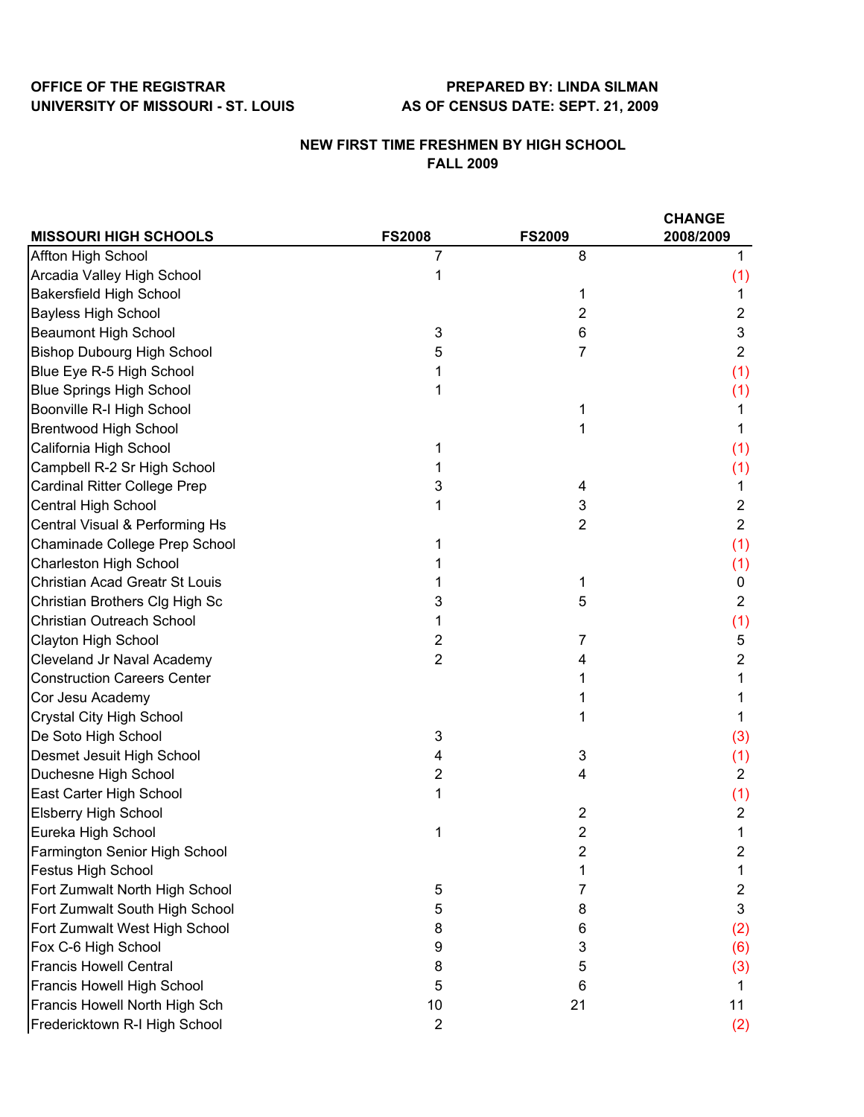## **OFFICE OF THE REGISTRAR PREPARED BY: LINDA SILMAN UNIVERSITY OF MISSOURI - ST. LOUIS AS OF CENSUS DATE: SEPT. 21, 2009**

## **NEW FIRST TIME FRESHMEN BY HIGH SCHOOL FALL 2009**

|                                       |                           |                | <b>CHANGE</b>  |  |
|---------------------------------------|---------------------------|----------------|----------------|--|
| <b>MISSOURI HIGH SCHOOLS</b>          | <b>FS2008</b>             | <b>FS2009</b>  | 2008/2009      |  |
| Affton High School                    | 7                         | 8              |                |  |
| Arcadia Valley High School            | 1                         |                | (1)            |  |
| <b>Bakersfield High School</b>        |                           | 1              | 1              |  |
| <b>Bayless High School</b>            |                           | 2              | $\overline{2}$ |  |
| <b>Beaumont High School</b>           | 3                         | 6              | 3              |  |
| <b>Bishop Dubourg High School</b>     | 5                         | 7              | $\overline{2}$ |  |
| Blue Eye R-5 High School              |                           |                | (1)            |  |
| <b>Blue Springs High School</b>       |                           |                | (1)            |  |
| Boonville R-I High School             |                           | 1              | 1              |  |
| <b>Brentwood High School</b>          |                           | 1              | 1              |  |
| California High School                | 1                         |                | (1)            |  |
| Campbell R-2 Sr High School           |                           |                | (1)            |  |
| <b>Cardinal Ritter College Prep</b>   | 3                         | 4              | 1              |  |
| Central High School                   |                           | 3              | $\overline{2}$ |  |
| Central Visual & Performing Hs        |                           | $\overline{2}$ | $\overline{2}$ |  |
| Chaminade College Prep School         |                           |                | (1)            |  |
| <b>Charleston High School</b>         |                           |                | (1)            |  |
| <b>Christian Acad Greatr St Louis</b> |                           | 1              | 0              |  |
| Christian Brothers Clg High Sc        | 3                         | 5              | $\overline{2}$ |  |
| Christian Outreach School             |                           |                | (1)            |  |
| Clayton High School                   | 2                         | 7              | 5              |  |
| Cleveland Jr Naval Academy            | $\overline{2}$            | 4              | 2              |  |
| <b>Construction Careers Center</b>    |                           |                |                |  |
| Cor Jesu Academy                      |                           |                |                |  |
| <b>Crystal City High School</b>       |                           |                | 1              |  |
| De Soto High School                   | $\ensuremath{\mathsf{3}}$ |                | (3)            |  |
| Desmet Jesuit High School             | 4                         | 3              | (1)            |  |
| Duchesne High School                  | $\overline{2}$            | 4              | $\overline{2}$ |  |
| East Carter High School               | 1                         |                | (1)            |  |
| <b>Elsberry High School</b>           |                           | $\overline{c}$ | 2              |  |
| Eureka High School                    | 1                         | $\overline{2}$ | 1              |  |
| Farmington Senior High School         |                           | 2              | 2              |  |
| <b>Festus High School</b>             |                           |                |                |  |
| Fort Zumwalt North High School        | 5                         | 7              | $\overline{c}$ |  |
| Fort Zumwalt South High School        | 5                         | 8              | 3              |  |
| Fort Zumwalt West High School         | 8                         | 6              | (2)            |  |
| Fox C-6 High School                   | 9                         | 3              | (6)            |  |
| <b>Francis Howell Central</b>         | 8                         | 5              | (3)            |  |
| Francis Howell High School            | 5                         | 6              | 1              |  |
| Francis Howell North High Sch         | 10                        | 21             | 11             |  |
| Fredericktown R-I High School         | $\overline{2}$            |                | (2)            |  |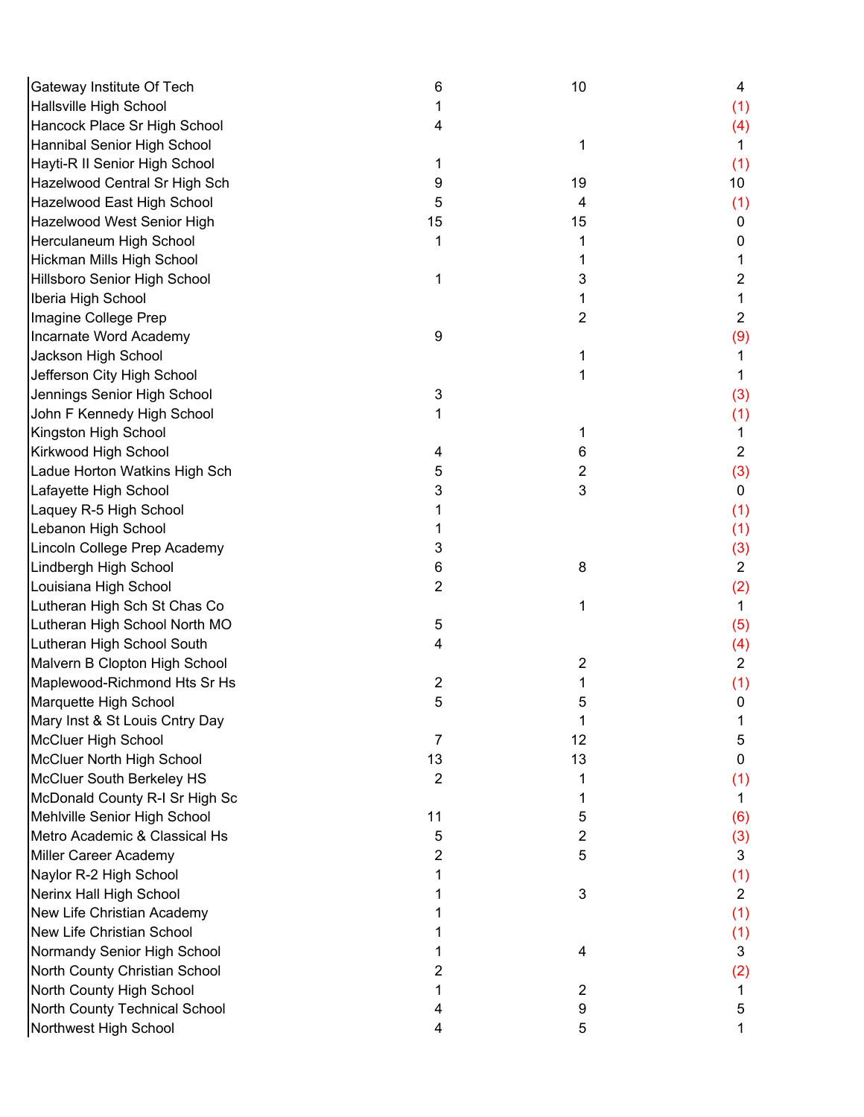| Gateway Institute Of Tech      | 6              | 10             | 4               |
|--------------------------------|----------------|----------------|-----------------|
| Hallsville High School         |                |                | (1)             |
| Hancock Place Sr High School   | 4              |                | (4)             |
| Hannibal Senior High School    |                | 1              | 1               |
| Hayti-R II Senior High School  | 1              |                | (1)             |
| Hazelwood Central Sr High Sch  | 9              | 19             | 10 <sup>°</sup> |
| Hazelwood East High School     | 5              | 4              | (1)             |
| Hazelwood West Senior High     | 15             | 15             | 0               |
| Herculaneum High School        | 1              | 1              | 0               |
| Hickman Mills High School      |                | 1              |                 |
| Hillsboro Senior High School   |                | 3              | $\overline{c}$  |
| Iberia High School             |                | 1              | 1               |
| Imagine College Prep           |                | 2              | $\overline{2}$  |
| Incarnate Word Academy         | 9              |                | (9)             |
| Jackson High School            |                | 1              |                 |
| Jefferson City High School     |                | 1              | 1               |
| Jennings Senior High School    | 3              |                | (3)             |
| John F Kennedy High School     |                |                | (1)             |
| Kingston High School           |                | 1              | 1.              |
| Kirkwood High School           | 4              | 6              | $\overline{2}$  |
| Ladue Horton Watkins High Sch  | 5              | 2              | (3)             |
| Lafayette High School          | 3              | 3              | $\mathbf 0$     |
| Laquey R-5 High School         |                |                |                 |
|                                |                |                | (1)             |
| Lebanon High School            |                |                | (1)             |
| Lincoln College Prep Academy   | 3              |                | (3)             |
| Lindbergh High School          | 6              | 8              | $\overline{2}$  |
| Louisiana High School          | 2              |                | (2)             |
| Lutheran High Sch St Chas Co   |                | 1              | 1               |
| Lutheran High School North MO  | 5              |                | (5)             |
| Lutheran High School South     | 4              |                | (4)             |
| Malvern B Clopton High School  |                | 2              | $\overline{2}$  |
| Maplewood-Richmond Hts Sr Hs   | 2              | 1              | (1)             |
| Marquette High School          | 5              | 5              | 0               |
| Mary Inst & St Louis Cntry Day |                | 1              |                 |
| McCluer High School            | 7              | 12             | 5               |
| McCluer North High School      | 13             | 13             | 0               |
| McCluer South Berkeley HS      | $\overline{2}$ | 1              | (1)             |
| McDonald County R-I Sr High Sc |                | 1              | 1               |
| Mehlville Senior High School   | 11             | 5              | (6)             |
| Metro Academic & Classical Hs  | 5              | $\overline{2}$ | (3)             |
| Miller Career Academy          | 2              | 5              | 3               |
| Naylor R-2 High School         |                |                | (1)             |
| Nerinx Hall High School        |                | 3              | $\overline{2}$  |
| New Life Christian Academy     |                |                | (1)             |
| New Life Christian School      |                |                | (1)             |
| Normandy Senior High School    |                | 4              | 3               |
| North County Christian School  |                |                | (2)             |
| North County High School       |                | 2              |                 |
| North County Technical School  | 4              | 9              | 5               |
| Northwest High School          | 4              | 5              |                 |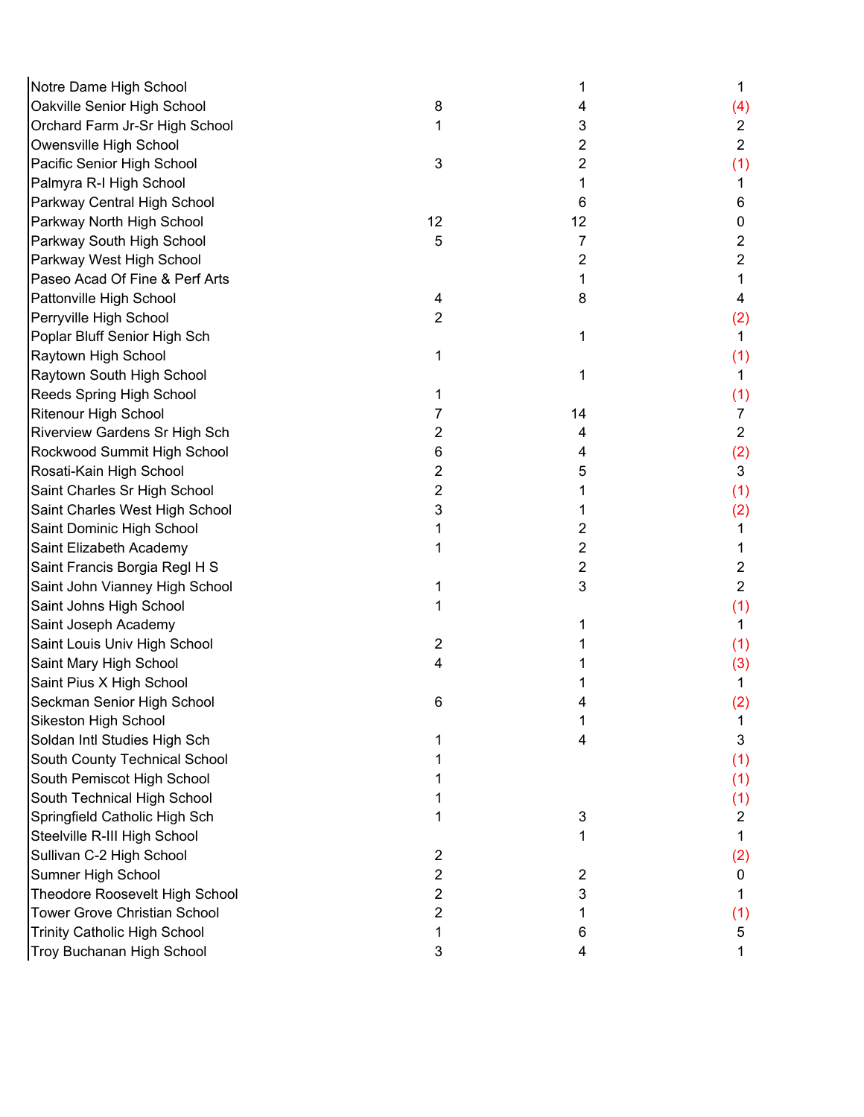| Notre Dame High School              |    | 1              | 1              |
|-------------------------------------|----|----------------|----------------|
| Oakville Senior High School         | 8  | 4              | (4)            |
| Orchard Farm Jr-Sr High School      |    | 3              | $\overline{c}$ |
| Owensville High School              |    | $\overline{2}$ | $\overline{2}$ |
| Pacific Senior High School          | 3  | 2              | (1)            |
| Palmyra R-I High School             |    | 1              | 1              |
| Parkway Central High School         |    | 6              | 6              |
| Parkway North High School           | 12 | 12             | 0              |
| Parkway South High School           | 5  | 7              | 2              |
| Parkway West High School            |    | 2              | 2              |
| Paseo Acad Of Fine & Perf Arts      |    | 1              | 1              |
| Pattonville High School             | 4  | 8              | 4              |
| Perryville High School              | 2  |                | (2)            |
| Poplar Bluff Senior High Sch        |    | 1              | 1.             |
| Raytown High School                 |    |                | (1)            |
| Raytown South High School           |    | 1              | 1              |
| Reeds Spring High School            |    |                | (1)            |
| Ritenour High School                |    | 14             | $\overline{7}$ |
| Riverview Gardens Sr High Sch       | 2  | 4              | $\overline{2}$ |
| Rockwood Summit High School         | 6  | 4              | (2)            |
| Rosati-Kain High School             | 2  | 5              | 3              |
| Saint Charles Sr High School        | 2  |                | (1)            |
| Saint Charles West High School      | 3  | 1              | (2)            |
| Saint Dominic High School           |    | 2              | 1              |
| Saint Elizabeth Academy             |    | 2              |                |
| Saint Francis Borgia Regl H S       |    | 2              | $\overline{c}$ |
| Saint John Vianney High School      |    | 3              | $\overline{2}$ |
| Saint Johns High School             |    |                | (1)            |
| Saint Joseph Academy                |    |                | 1.             |
| Saint Louis Univ High School        | 2  |                | (1)            |
| Saint Mary High School              | 4  |                | (3)            |
| Saint Pius X High School            |    |                | 1              |
| Seckman Senior High School          | 6  |                | (2)            |
| Sikeston High School                |    |                |                |
| Soldan Intl Studies High Sch        |    | 4              | 3              |
| South County Technical School       |    |                | (1)            |
| South Pemiscot High School          |    |                | (1)            |
| South Technical High School         |    |                | (1)            |
| Springfield Catholic High Sch       |    | 3              | 2              |
| Steelville R-III High School        |    | 1              | 1              |
| Sullivan C-2 High School            | 2  |                | (2)            |
| Sumner High School                  | 2  | 2              | 0              |
| Theodore Roosevelt High School      | 2  | 3              |                |
| <b>Tower Grove Christian School</b> | 2  |                | (1)            |
| <b>Trinity Catholic High School</b> | 1  | 6              | 5              |
| Troy Buchanan High School           | 3  | 4              | 1              |
|                                     |    |                |                |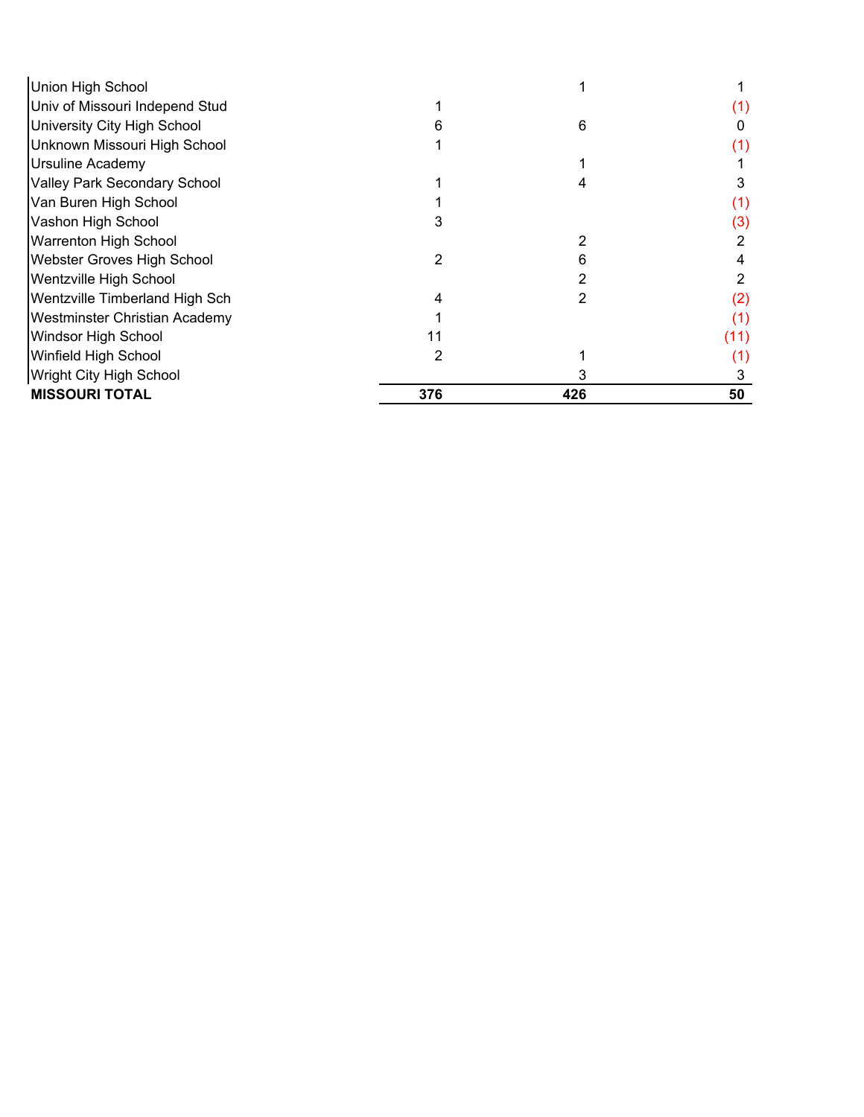| Union High School                   |     |     |      |
|-------------------------------------|-----|-----|------|
| Univ of Missouri Independ Stud      |     |     |      |
| University City High School         |     | 6   |      |
| Unknown Missouri High School        |     |     | (1)  |
| Ursuline Academy                    |     |     |      |
| <b>Valley Park Secondary School</b> |     |     |      |
| Van Buren High School               |     |     | (1)  |
| Vashon High School                  |     |     | (3)  |
| Warrenton High School               |     | 2   | 2    |
| Webster Groves High School          | 2   | 6   |      |
| Wentzville High School              |     |     |      |
| Wentzville Timberland High Sch      |     |     | (2)  |
| Westminster Christian Academy       |     |     | (1)  |
| Windsor High School                 | 11  |     | (11) |
| Winfield High School                | 2   |     | (1)  |
| <b>Wright City High School</b>      |     |     |      |
| <b>MISSOURI TOTAL</b>               | 376 | 426 | 50   |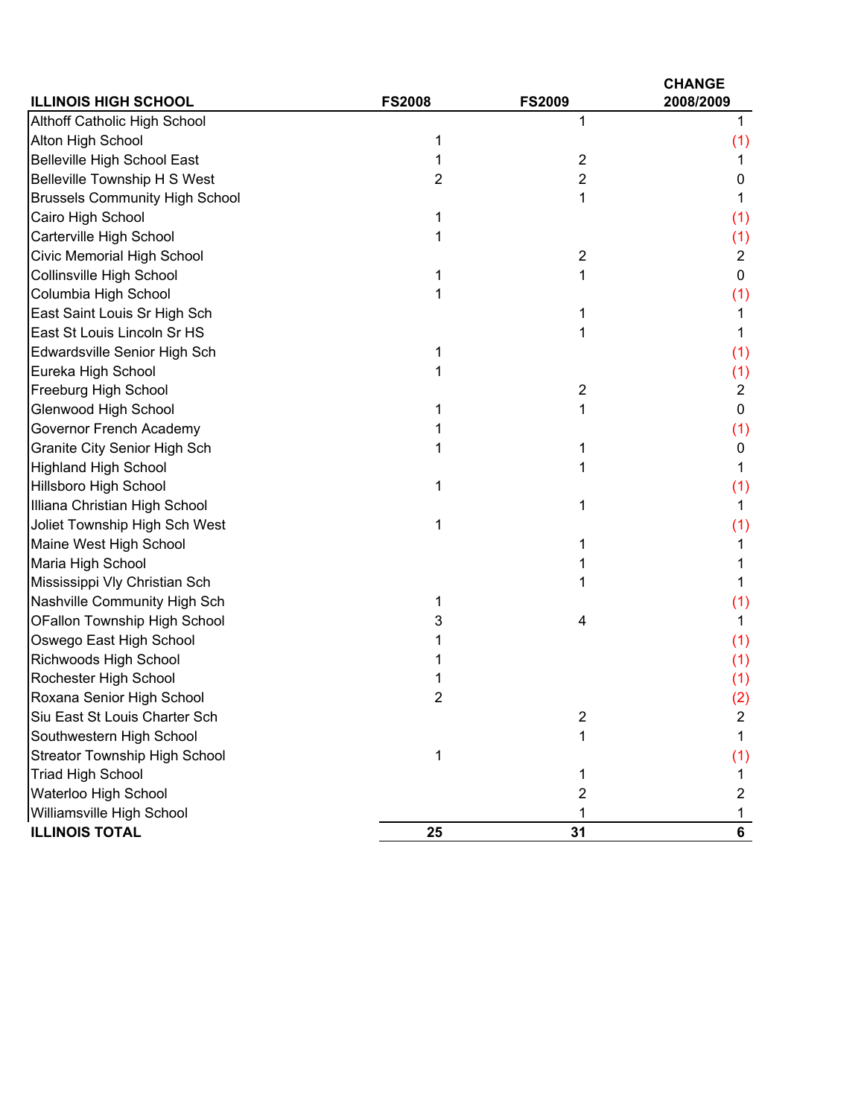| <b>ILLINOIS HIGH SCHOOL</b>           | <b>FS2008</b> | <b>FS2009</b>           | <b>CHANGE</b><br>2008/2009 |
|---------------------------------------|---------------|-------------------------|----------------------------|
| Althoff Catholic High School          |               | 1                       | 1                          |
| Alton High School                     | 1             |                         | (1)                        |
| <b>Belleville High School East</b>    | 1             | $\overline{2}$          | 1                          |
| Belleville Township H S West          | 2             | 2                       | 0                          |
| <b>Brussels Community High School</b> |               | 1                       |                            |
| Cairo High School                     |               |                         | (1)                        |
| Carterville High School               | 1             |                         | (1)                        |
| Civic Memorial High School            |               | $\overline{2}$          | $\overline{2}$             |
| Collinsville High School              |               | 1                       | $\mathbf 0$                |
| Columbia High School                  |               |                         | (1)                        |
| East Saint Louis Sr High Sch          |               | 1                       |                            |
| East St Louis Lincoln Sr HS           |               |                         |                            |
| Edwardsville Senior High Sch          | 1             |                         | (1)                        |
| Eureka High School                    |               |                         | (1)                        |
| Freeburg High School                  |               | $\overline{\mathbf{c}}$ | $\overline{c}$             |
| Glenwood High School                  |               | 1                       | $\mathbf 0$                |
| Governor French Academy               |               |                         | (1)                        |
| Granite City Senior High Sch          |               | 1                       | 0                          |
| <b>Highland High School</b>           |               | 1                       | 1                          |
| <b>Hillsboro High School</b>          | 1             |                         | (1)                        |
| Illiana Christian High School         |               | 1                       | 1                          |
| Joliet Township High Sch West         | 1             |                         | (1)                        |
| Maine West High School                |               | 1                       |                            |
| Maria High School                     |               | 1                       |                            |
| Mississippi Vly Christian Sch         |               |                         | 1                          |
| Nashville Community High Sch          |               |                         | (1)                        |
| <b>OFallon Township High School</b>   | 3             | 4                       | 1                          |
| Oswego East High School               |               |                         | (1)                        |
| Richwoods High School                 |               |                         | (1)                        |
| Rochester High School                 |               |                         | (1)                        |
| Roxana Senior High School             |               |                         | (2)                        |
| Siu East St Louis Charter Sch         |               | 2                       | 2                          |
| Southwestern High School              |               | 1                       | 1                          |
| <b>Streator Township High School</b>  | 1             |                         | (1)                        |
| <b>Triad High School</b>              |               | 1                       | 1                          |
| Waterloo High School                  |               | 2                       | 2                          |
| Williamsville High School             |               |                         |                            |
| <b>ILLINOIS TOTAL</b>                 | 25            | 31                      | 6                          |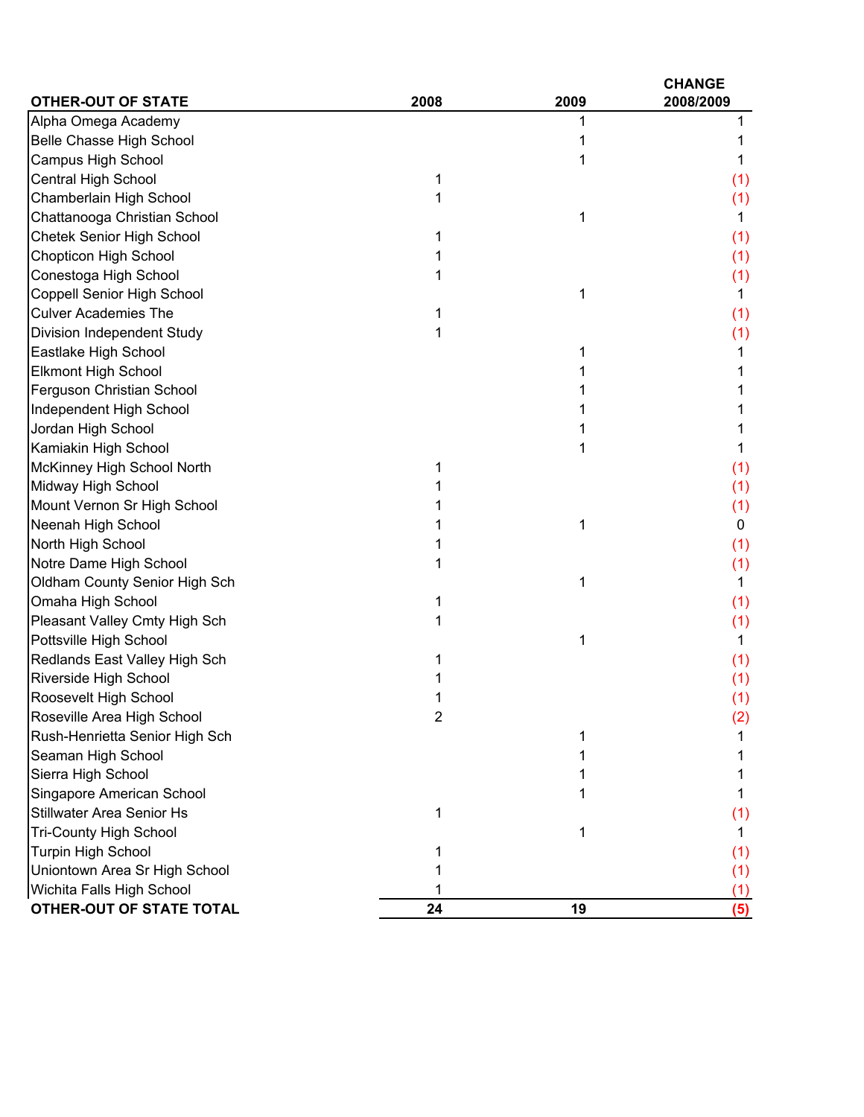| <b>OTHER-OUT OF STATE</b>        | 2008           | 2009 | <b>CHANGE</b><br>2008/2009 |
|----------------------------------|----------------|------|----------------------------|
| Alpha Omega Academy              |                |      |                            |
| Belle Chasse High School         |                |      |                            |
| <b>Campus High School</b>        |                | 1    |                            |
| <b>Central High School</b>       | 1              |      | (1)                        |
| Chamberlain High School          |                |      | (1)                        |
| Chattanooga Christian School     |                | 1    | 1                          |
| Chetek Senior High School        |                |      | (1)                        |
| Chopticon High School            |                |      | (1)                        |
| Conestoga High School            |                |      | (1)                        |
| Coppell Senior High School       |                | 1    | 1                          |
| <b>Culver Academies The</b>      |                |      | (1)                        |
| Division Independent Study       |                |      | (1)                        |
| Eastlake High School             |                |      |                            |
| <b>Elkmont High School</b>       |                |      |                            |
| Ferguson Christian School        |                |      |                            |
| Independent High School          |                |      |                            |
| Jordan High School               |                |      |                            |
| Kamiakin High School             |                | 1    |                            |
| McKinney High School North       |                |      | (1)                        |
| Midway High School               |                |      | (1)                        |
| Mount Vernon Sr High School      |                |      | (1)                        |
| Neenah High School               |                | 1    | 0                          |
| North High School                |                |      | (1)                        |
| Notre Dame High School           |                |      | (1)                        |
| Oldham County Senior High Sch    |                | 1    | 1                          |
| Omaha High School                |                |      | (1)                        |
| Pleasant Valley Cmty High Sch    |                |      | (1)                        |
| Pottsville High School           |                | 1    | 1                          |
| Redlands East Valley High Sch    |                |      | (1)                        |
| Riverside High School            |                |      | (1)                        |
| Roosevelt High School            |                |      | (1)                        |
| Roseville Area High School       | $\overline{2}$ |      | (2)                        |
| Rush-Henrietta Senior High Sch   |                | 1    |                            |
| Seaman High School               |                |      |                            |
| Sierra High School               |                |      |                            |
| Singapore American School        |                |      |                            |
| <b>Stillwater Area Senior Hs</b> |                |      | (1)                        |
| <b>Tri-County High School</b>    |                |      |                            |
| Turpin High School               |                |      | (1)                        |
| Uniontown Area Sr High School    |                |      | (1)                        |
| Wichita Falls High School        |                |      | (1)                        |
| OTHER-OUT OF STATE TOTAL         | 24             | 19   | (5)                        |